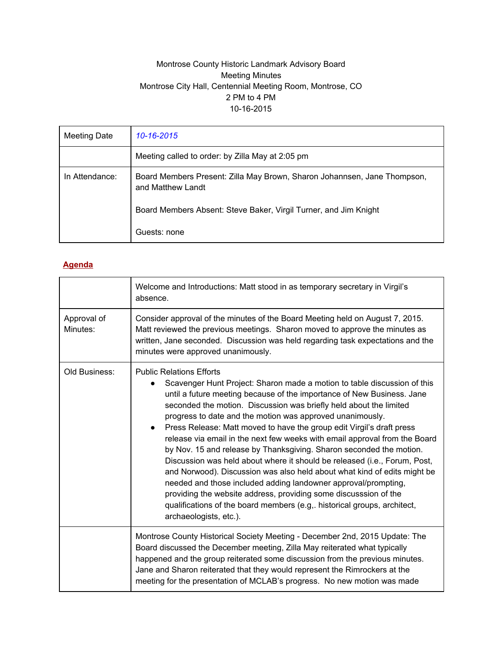### Montrose County Historic Landmark Advisory Board Meeting Minutes Montrose City Hall, Centennial Meeting Room, Montrose, CO 2 PM to 4 PM 10-16-2015

| Meeting Date   | 10-16-2015                                                                                    |
|----------------|-----------------------------------------------------------------------------------------------|
|                | Meeting called to order: by Zilla May at 2:05 pm                                              |
| In Attendance: | Board Members Present: Zilla May Brown, Sharon Johannsen, Jane Thompson,<br>and Matthew Landt |
|                | Board Members Absent: Steve Baker, Virgil Turner, and Jim Knight                              |
|                | Guests: none                                                                                  |

# **Agenda**

|                         | Welcome and Introductions: Matt stood in as temporary secretary in Virgil's<br>absence.                                                                                                                                                                                                                                                                                                                                                                                                                                                                                                                                                                                                                                                                                                                                                                                                                                                                                  |  |  |  |
|-------------------------|--------------------------------------------------------------------------------------------------------------------------------------------------------------------------------------------------------------------------------------------------------------------------------------------------------------------------------------------------------------------------------------------------------------------------------------------------------------------------------------------------------------------------------------------------------------------------------------------------------------------------------------------------------------------------------------------------------------------------------------------------------------------------------------------------------------------------------------------------------------------------------------------------------------------------------------------------------------------------|--|--|--|
| Approval of<br>Minutes: | Consider approval of the minutes of the Board Meeting held on August 7, 2015.<br>Matt reviewed the previous meetings. Sharon moved to approve the minutes as<br>written, Jane seconded. Discussion was held regarding task expectations and the<br>minutes were approved unanimously.                                                                                                                                                                                                                                                                                                                                                                                                                                                                                                                                                                                                                                                                                    |  |  |  |
| Old Business:           | <b>Public Relations Efforts</b><br>Scavenger Hunt Project: Sharon made a motion to table discussion of this<br>until a future meeting because of the importance of New Business. Jane<br>seconded the motion. Discussion was briefly held about the limited<br>progress to date and the motion was approved unanimously.<br>Press Release: Matt moved to have the group edit Virgil's draft press<br>$\bullet$<br>release via email in the next few weeks with email approval from the Board<br>by Nov. 15 and release by Thanksgiving. Sharon seconded the motion.<br>Discussion was held about where it should be released (i.e., Forum, Post,<br>and Norwood). Discussion was also held about what kind of edits might be<br>needed and those included adding landowner approval/prompting,<br>providing the website address, providing some discusssion of the<br>qualifications of the board members (e.g., historical groups, architect,<br>archaeologists, etc.). |  |  |  |
|                         | Montrose County Historical Society Meeting - December 2nd, 2015 Update: The<br>Board discussed the December meeting, Zilla May reiterated what typically<br>happened and the group reiterated some discussion from the previous minutes.<br>Jane and Sharon reiterated that they would represent the Rimrockers at the<br>meeting for the presentation of MCLAB's progress. No new motion was made                                                                                                                                                                                                                                                                                                                                                                                                                                                                                                                                                                       |  |  |  |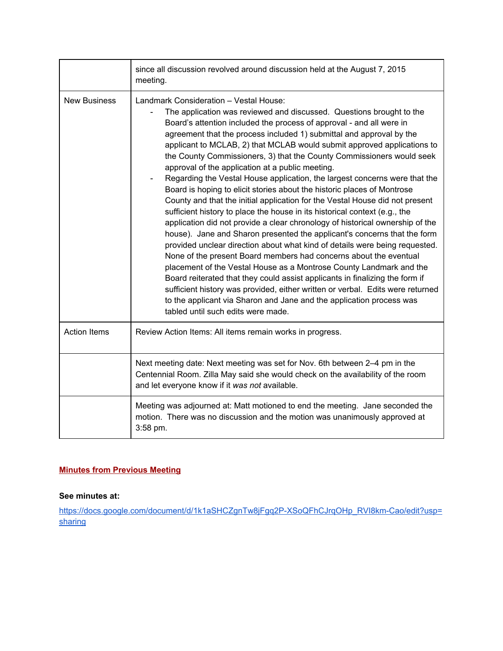|                     | since all discussion revolved around discussion held at the August 7, 2015<br>meeting.                                                                                                                                                                                                                                                                                                                                                                                                                                                                                                                                                                                                                                                                                                                                                                                                                                                                                                                                                                                                                                                                                                                                                                                                                                                                                                                                                                                |  |  |  |
|---------------------|-----------------------------------------------------------------------------------------------------------------------------------------------------------------------------------------------------------------------------------------------------------------------------------------------------------------------------------------------------------------------------------------------------------------------------------------------------------------------------------------------------------------------------------------------------------------------------------------------------------------------------------------------------------------------------------------------------------------------------------------------------------------------------------------------------------------------------------------------------------------------------------------------------------------------------------------------------------------------------------------------------------------------------------------------------------------------------------------------------------------------------------------------------------------------------------------------------------------------------------------------------------------------------------------------------------------------------------------------------------------------------------------------------------------------------------------------------------------------|--|--|--|
| <b>New Business</b> | Landmark Consideration - Vestal House:<br>The application was reviewed and discussed. Questions brought to the<br>Board's attention included the process of approval - and all were in<br>agreement that the process included 1) submittal and approval by the<br>applicant to MCLAB, 2) that MCLAB would submit approved applications to<br>the County Commissioners, 3) that the County Commissioners would seek<br>approval of the application at a public meeting.<br>Regarding the Vestal House application, the largest concerns were that the<br>Board is hoping to elicit stories about the historic places of Montrose<br>County and that the initial application for the Vestal House did not present<br>sufficient history to place the house in its historical context (e.g., the<br>application did not provide a clear chronology of historical ownership of the<br>house). Jane and Sharon presented the applicant's concerns that the form<br>provided unclear direction about what kind of details were being requested.<br>None of the present Board members had concerns about the eventual<br>placement of the Vestal House as a Montrose County Landmark and the<br>Board reiterated that they could assist applicants in finalizing the form if<br>sufficient history was provided, either written or verbal. Edits were returned<br>to the applicant via Sharon and Jane and the application process was<br>tabled until such edits were made. |  |  |  |
| <b>Action Items</b> | Review Action Items: All items remain works in progress.                                                                                                                                                                                                                                                                                                                                                                                                                                                                                                                                                                                                                                                                                                                                                                                                                                                                                                                                                                                                                                                                                                                                                                                                                                                                                                                                                                                                              |  |  |  |
|                     | Next meeting date: Next meeting was set for Nov. 6th between 2-4 pm in the<br>Centennial Room. Zilla May said she would check on the availability of the room<br>and let everyone know if it was not available.                                                                                                                                                                                                                                                                                                                                                                                                                                                                                                                                                                                                                                                                                                                                                                                                                                                                                                                                                                                                                                                                                                                                                                                                                                                       |  |  |  |
|                     | Meeting was adjourned at: Matt motioned to end the meeting. Jane seconded the<br>motion. There was no discussion and the motion was unanimously approved at<br>3:58 pm.                                                                                                                                                                                                                                                                                                                                                                                                                                                                                                                                                                                                                                                                                                                                                                                                                                                                                                                                                                                                                                                                                                                                                                                                                                                                                               |  |  |  |

#### **Minutes from Previous Meeting**

### **See minutes at:**

https://docs.google.com/document/d/1k1aSHCZgnTw8jFgq2P-XSoQFhCJrqOHp\_RVI8km-Cao/edit?usp= [sharing](https://docs.google.com/document/d/1k1aSHCZgnTw8jFgq2P-XSoQFhCJrqOHp_RVI8km-Cao/edit?usp=sharing)